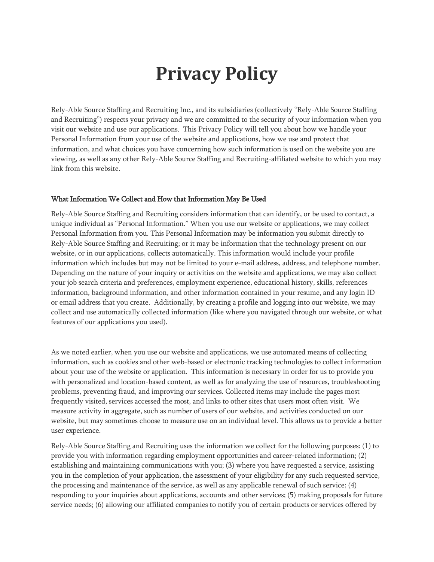# **Privacy Policy**

Rely-Able Source Staffing and Recruiting Inc., and its subsidiaries (collectively "Rely-Able Source Staffing and Recruiting") respects your privacy and we are committed to the security of your information when you visit our website and use our applications. This Privacy Policy will tell you about how we handle your Personal Information from your use of the website and applications, how we use and protect that information, and what choices you have concerning how such information is used on the website you are viewing, as well as any other Rely-Able Source Staffing and Recruiting-affiliated website to which you may link from this website.

#### What Information We Collect and How that Information May Be Used

Rely-Able Source Staffing and Recruiting considers information that can identify, or be used to contact, a unique individual as "Personal Information." When you use our website or applications, we may collect Personal Information from you. This Personal Information may be information you submit directly to Rely-Able Source Staffing and Recruiting; or it may be information that the technology present on our website, or in our applications, collects automatically. This information would include your profile information which includes but may not be limited to your e-mail address, address, and telephone number. Depending on the nature of your inquiry or activities on the website and applications, we may also collect your job search criteria and preferences, employment experience, educational history, skills, references information, background information, and other information contained in your resume, and any login ID or email address that you create. Additionally, by creating a profile and logging into our website, we may collect and use automatically collected information (like where you navigated through our website, or what features of our applications you used).

As we noted earlier, when you use our website and applications, we use automated means of collecting information, such as cookies and other web-based or electronic tracking technologies to collect information about your use of the website or application. This information is necessary in order for us to provide you with personalized and location-based content, as well as for analyzing the use of resources, troubleshooting problems, preventing fraud, and improving our services. Collected items may include the pages most frequently visited, services accessed the most, and links to other sites that users most often visit. We measure activity in aggregate, such as number of users of our website, and activities conducted on our website, but may sometimes choose to measure use on an individual level. This allows us to provide a better user experience.

Rely-Able Source Staffing and Recruiting uses the information we collect for the following purposes: (1) to provide you with information regarding employment opportunities and career-related information; (2) establishing and maintaining communications with you; (3) where you have requested a service, assisting you in the completion of your application, the assessment of your eligibility for any such requested service, the processing and maintenance of the service, as well as any applicable renewal of such service; (4) responding to your inquiries about applications, accounts and other services; (5) making proposals for future service needs; (6) allowing our affiliated companies to notify you of certain products or services offered by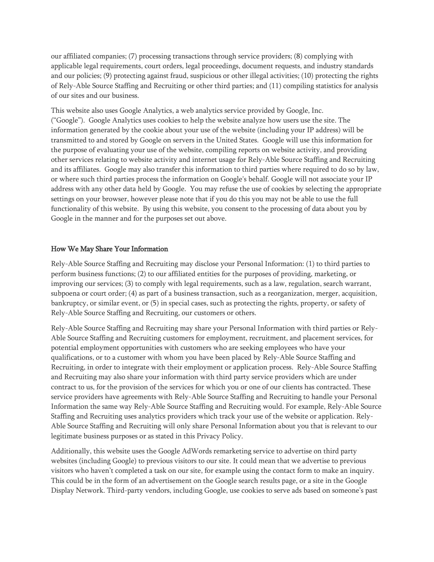our affiliated companies; (7) processing transactions through service providers; (8) complying with applicable legal requirements, court orders, legal proceedings, document requests, and industry standards and our policies; (9) protecting against fraud, suspicious or other illegal activities; (10) protecting the rights of Rely-Able Source Staffing and Recruiting or other third parties; and (11) compiling statistics for analysis of our sites and our business.

This website also uses Google Analytics, a web analytics service provided by Google, Inc. ("Google"). Google Analytics uses cookies to help the website analyze how users use the site. The information generated by the cookie about your use of the website (including your IP address) will be transmitted to and stored by Google on servers in the United States. Google will use this information for the purpose of evaluating your use of the website, compiling reports on website activity, and providing other services relating to website activity and internet usage for Rely-Able Source Staffing and Recruiting and its affiliates. Google may also transfer this information to third parties where required to do so by law, or where such third parties process the information on Google's behalf. Google will not associate your IP address with any other data held by Google. You may refuse the use of cookies by selecting the appropriate settings on your browser, however please note that if you do this you may not be able to use the full functionality of this website. By using this website, you consent to the processing of data about you by Google in the manner and for the purposes set out above.

#### How We May Share Your Information

Rely-Able Source Staffing and Recruiting may disclose your Personal Information: (1) to third parties to perform business functions; (2) to our affiliated entities for the purposes of providing, marketing, or improving our services; (3) to comply with legal requirements, such as a law, regulation, search warrant, subpoena or court order; (4) as part of a business transaction, such as a reorganization, merger, acquisition, bankruptcy, or similar event, or (5) in special cases, such as protecting the rights, property, or safety of Rely-Able Source Staffing and Recruiting, our customers or others.

Rely-Able Source Staffing and Recruiting may share your Personal Information with third parties or Rely-Able Source Staffing and Recruiting customers for employment, recruitment, and placement services, for potential employment opportunities with customers who are seeking employees who have your qualifications, or to a customer with whom you have been placed by Rely-Able Source Staffing and Recruiting, in order to integrate with their employment or application process. Rely-Able Source Staffing and Recruiting may also share your information with third party service providers which are under contract to us, for the provision of the services for which you or one of our clients has contracted. These service providers have agreements with Rely-Able Source Staffing and Recruiting to handle your Personal Information the same way Rely-Able Source Staffing and Recruiting would. For example, Rely-Able Source Staffing and Recruiting uses analytics providers which track your use of the website or application. Rely-Able Source Staffing and Recruiting will only share Personal Information about you that is relevant to our legitimate business purposes or as stated in this Privacy Policy.

Additionally, this website uses the Google AdWords remarketing service to advertise on third party websites (including Google) to previous visitors to our site. It could mean that we advertise to previous visitors who haven't completed a task on our site, for example using the contact form to make an inquiry. This could be in the form of an advertisement on the Google search results page, or a site in the Google Display Network. Third-party vendors, including Google, use cookies to serve ads based on someone's past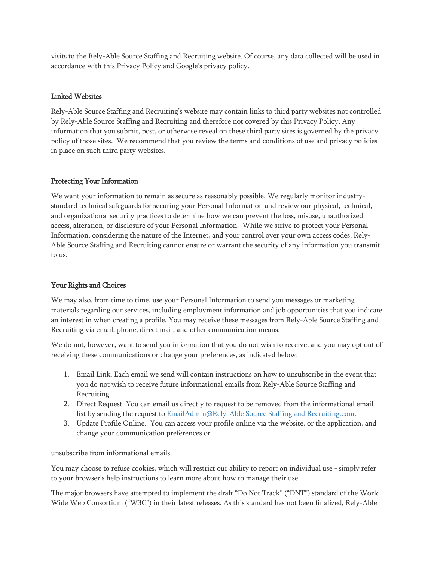visits to the Rely-Able Source Staffing and Recruiting website. Of course, any data collected will be used in accordance with this Privacy Policy and Google's privacy policy.

#### Linked Websites

Rely-Able Source Staffing and Recruiting's website may contain links to third party websites not controlled by Rely-Able Source Staffing and Recruiting and therefore not covered by this Privacy Policy. Any information that you submit, post, or otherwise reveal on these third party sites is governed by the privacy policy of those sites. We recommend that you review the terms and conditions of use and privacy policies in place on such third party websites.

## Protecting Your Information

We want your information to remain as secure as reasonably possible. We regularly monitor industrystandard technical safeguards for securing your Personal Information and review our physical, technical, and organizational security practices to determine how we can prevent the loss, misuse, unauthorized access, alteration, or disclosure of your Personal Information. While we strive to protect your Personal Information, considering the nature of the Internet, and your control over your own access codes, Rely-Able Source Staffing and Recruiting cannot ensure or warrant the security of any information you transmit to us.

# Your Rights and Choices

We may also, from time to time, use your Personal Information to send you messages or marketing materials regarding our services, including employment information and job opportunities that you indicate an interest in when creating a profile. You may receive these messages from Rely-Able Source Staffing and Recruiting via email, phone, direct mail, and other communication means.

We do not, however, want to send you information that you do not wish to receive, and you may opt out of receiving these communications or change your preferences, as indicated below:

- 1. Email Link. Each email we send will contain instructions on how to unsubscribe in the event that you do not wish to receive future informational emails from Rely-Able Source Staffing and Recruiting.
- 2. Direct Request. You can email us directly to request to be removed from the informational email list by sending the request to [EmailAdmin@Rely-Able Source Staffing and Recruiting.com.](mailto:EmailAdmin@Kforce.com)
- 3. Update Profile Online. You can access your profile online via the website, or the application, and change your communication preferences or

unsubscribe from informational emails.

You may choose to refuse cookies, which will restrict our ability to report on individual use - simply refer to your browser's help instructions to learn more about how to manage their use.

The major browsers have attempted to implement the draft "Do Not Track" ("DNT") standard of the World Wide Web Consortium ("W3C") in their latest releases. As this standard has not been finalized, Rely-Able